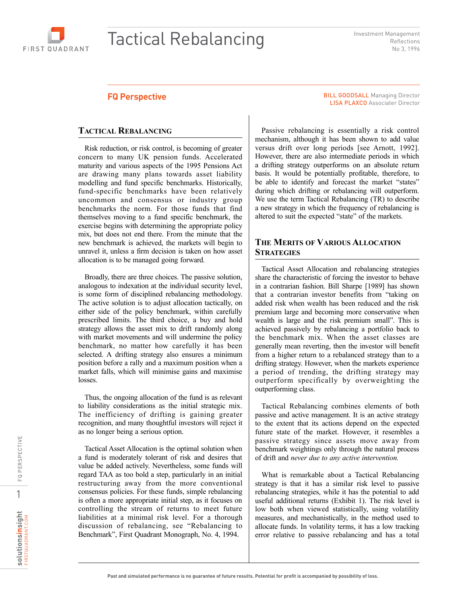

# Tactical Rebalancing

Investment Management Reflections No 3, 1996

#### **FQ Perspective**

#### **TACTICAL REBALANCING**

Risk reduction, or risk control, is becoming of greater concern to many UK pension funds. Accelerated maturity and various aspects of the 1995 Pensions Act are drawing many plans towards asset liability modelling and fund specific benchmarks. Historically, fund-specific benchmarks have been relatively uncommon and consensus or industry group benchmarks the norm. For those funds that find themselves moving to a fund specific benchmark, the exercise begins with determining the appropriate policy mix, but does not end there. From the minute that the new benchmark is achieved, the markets will begin to unravel it, unless a firm decision is taken on how asset allocation is to be managed going forward.

Broadly, there are three choices. The passive solution, analogous to indexation at the individual security level, is some form of disciplined rebalancing methodology. The active solution is to adjust allocation tactically, on either side of the policy benchmark, within carefully prescribed limits. The third choice, a buy and hold strategy allows the asset mix to drift randomly along with market movements and will undermine the policy benchmark, no matter how carefully it has been selected. A drifting strategy also ensures a minimum position before a rally and a maximum position when a market falls, which will minimise gains and maximise losses.

Thus, the ongoing allocation of the fund is as relevant to liability considerations as the initial strategic mix. The inefficiency of drifting is gaining greater recognition, and many thoughtful investors will reject it as no longer being a serious option.

Tactical Asset Allocation is the optimal solution when a fund is moderately tolerant of risk and desires that value be added actively. Nevertheless, some funds will regard TAA as too bold a step, particularly in an initial restructuring away from the more conventional consensus policies. For these funds, simple rebalancing is often a more appropriate initial step, as it focuses on controlling the stream of returns to meet future liabilities at a minimal risk level. For a thorough discussion of rebalancing, see "Rebalancing to Benchmark", First Quadrant Monograph, No. 4, 1994.

BILL GOODSALL Managing Director LISA PLAXCO Associater Director

Passive rebalancing is essentially a risk control mechanism, although it has been shown to add value versus drift over long periods [see Arnott, 1992]. However, there are also intermediate periods in which a drifting strategy outperforms on an absolute return basis. It would be potentially profitable, therefore, to be able to identify and forecast the market "states" during which drifting or rebalancing will outperform. We use the term Tactical Rebalancing (TR) to describe a new strategy in which the frequency of rebalancing is altered to suit the expected "state" of the markets.

## **THE MERITS OF VARIOUS ALLOCATION STRATEGIES**

Tactical Asset Allocation and rebalancing strategies share the characteristic of forcing the investor to behave in a contrarian fashion. Bill Sharpe [1989] has shown that a contrarian investor benefits from "taking on added risk when wealth has been reduced and the risk premium large and becoming more conservative when wealth is large and the risk premium small". This is achieved passively by rebalancing a portfolio back to the benchmark mix. When the asset classes are generally mean reverting, then the investor will benefit from a higher return to a rebalanced strategy than to a drifting strategy. However, when the markets experience a period of trending, the drifting strategy may outperform specifically by overweighting the outperforming class.

Tactical Rebalancing combines elements of both passive and active management. It is an active strategy to the extent that its actions depend on the expected future state of the market. However, it resembles a passive strategy since assets move away from benchmark weightings only through the natural process of drift and *never due to any active intervention.*

What is remarkable about a Tactical Rebalancing strategy is that it has a similar risk level to passive rebalancing strategies, while it has the potential to add useful additional returns (Exhibit 1). The risk level is low both when viewed statistically, using volatility measures, and mechanistically, in the method used to allocate funds. In volatility terms, it has a low tracking error relative to passive rebalancing and has a total

1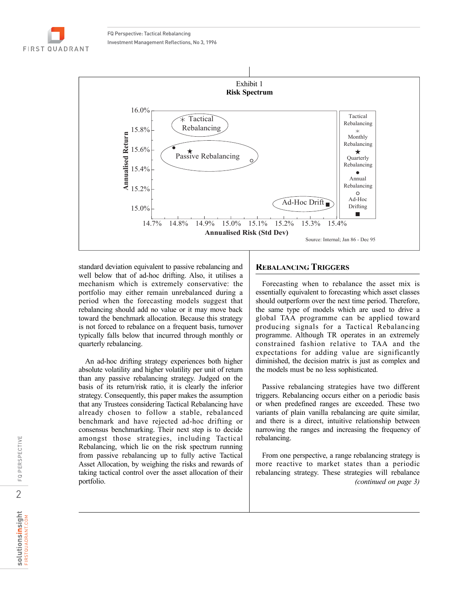FQ Perspective: Tactical Rebalancing Investment Management Reflections, No 3, 1996

**FIRST QUADRANT** 



standard deviation equivalent to passive rebalancing and well below that of ad-hoc drifting. Also, it utilises a mechanism which is extremely conservative: the portfolio may either remain unrebalanced during a period when the forecasting models suggest that rebalancing should add no value or it may move back toward the benchmark allocation. Because this strategy is not forced to rebalance on a frequent basis, turnover typically falls below that incurred through monthly or quarterly rebalancing.

An ad-hoc drifting strategy experiences both higher absolute volatility and higher volatility per unit of return than any passive rebalancing strategy. Judged on the basis of its return/risk ratio, it is clearly the inferior strategy. Consequently, this paper makes the assumption that any Trustees considering Tactical Rebalancing have already chosen to follow a stable, rebalanced benchmark and have rejected ad-hoc drifting or consensus benchmarking. Their next step is to decide amongst those strategies, including Tactical Rebalancing, which lie on the risk spectrum running from passive rebalancing up to fully active Tactical Asset Allocation, by weighing the risks and rewards of taking tactical control over the asset allocation of their portfolio.

#### **REBALANCING TRIGGERS**

Forecasting when to rebalance the asset mix is essentially equivalent to forecasting which asset classes should outperform over the next time period. Therefore, the same type of models which are used to drive a global TAA programme can be applied toward producing signals for a Tactical Rebalancing programme. Although TR operates in an extremely constrained fashion relative to TAA and the expectations for adding value are significantly diminished, the decision matrix is just as complex and the models must be no less sophisticated.

Passive rebalancing strategies have two different triggers. Rebalancing occurs either on a periodic basis or when predefined ranges are exceeded. These two variants of plain vanilla rebalancing are quite similar, and there is a direct, intuitive relationship between narrowing the ranges and increasing the frequency of rebalancing.

From one perspective, a range rebalancing strategy is more reactive to market states than a periodic rebalancing strategy. These strategies will rebalance *(continued on page 3)*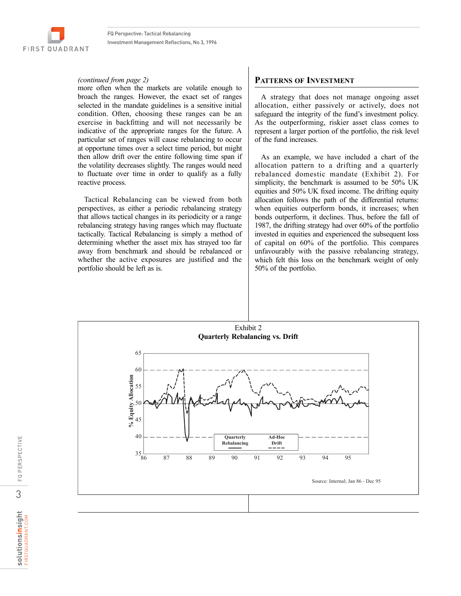#### *(continued from page 2)*

more often when the markets are volatile enough to broach the ranges. However, the exact set of ranges selected in the mandate guidelines is a sensitive initial condition. Often, choosing these ranges can be an exercise in backfitting and will not necessarily be indicative of the appropriate ranges for the future. A particular set of ranges will cause rebalancing to occur at opportune times over a select time period, but might then allow drift over the entire following time span if the volatility decreases slightly. The ranges would need to fluctuate over time in order to qualify as a fully reactive process.

Tactical Rebalancing can be viewed from both perspectives, as either a periodic rebalancing strategy that allows tactical changes in its periodicity or a range rebalancing strategy having ranges which may fluctuate tactically. Tactical Rebalancing is simply a method of determining whether the asset mix has strayed too far away from benchmark and should be rebalanced or whether the active exposures are justified and the portfolio should be left as is.

#### **PATTERNS OF INVESTMENT**

A strategy that does not manage ongoing asset allocation, either passively or actively, does not safeguard the integrity of the fund's investment policy. As the outperforming, riskier asset class comes to represent a larger portion of the portfolio, the risk level of the fund increases.

As an example, we have included a chart of the allocation pattern to a drifting and a quarterly rebalanced domestic mandate (Exhibit 2). For simplicity, the benchmark is assumed to be 50% UK equities and 50% UK fixed income. The drifting equity allocation follows the path of the differential returns: when equities outperform bonds, it increases; when bonds outperform, it declines. Thus, before the fall of 1987, the drifting strategy had over 60% of the portfolio invested in equities and experienced the subsequent loss of capital on 60% of the portfolio. This compares unfavourably with the passive rebalancing strategy, which felt this loss on the benchmark weight of only 50% of the portfolio.

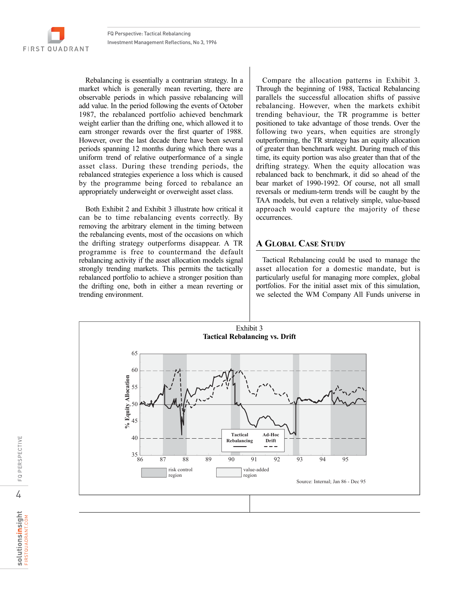FIRST QUADRANT

Rebalancing is essentially a contrarian strategy. In a market which is generally mean reverting, there are observable periods in which passive rebalancing will add value. In the period following the events of October 1987, the rebalanced portfolio achieved benchmark weight earlier than the drifting one, which allowed it to earn stronger rewards over the first quarter of 1988. However, over the last decade there have been several periods spanning 12 months during which there was a uniform trend of relative outperformance of a single asset class. During these trending periods, the rebalanced strategies experience a loss which is caused by the programme being forced to rebalance an appropriately underweight or overweight asset class.

Both Exhibit 2 and Exhibit 3 illustrate how critical it can be to time rebalancing events correctly. By removing the arbitrary element in the timing between the rebalancing events, most of the occasions on which the drifting strategy outperforms disappear. A TR programme is free to countermand the default rebalancing activity if the asset allocation models signal strongly trending markets. This permits the tactically rebalanced portfolio to achieve a stronger position than the drifting one, both in either a mean reverting or trending environment.

Compare the allocation patterns in Exhibit 3. Through the beginning of 1988, Tactical Rebalancing parallels the successful allocation shifts of passive rebalancing. However, when the markets exhibit trending behaviour, the TR programme is better positioned to take advantage of those trends. Over the following two years, when equities are strongly outperforming, the TR strategy has an equity allocation of greater than benchmark weight. During much of this time, its equity portion was also greater than that of the drifting strategy. When the equity allocation was rebalanced back to benchmark, it did so ahead of the bear market of 1990-1992. Of course, not all small reversals or medium-term trends will be caught by the TAA models, but even a relatively simple, value-based approach would capture the majority of these occurrences.

#### **A GLOBAL CASE STUDY**

Tactical Rebalancing could be used to manage the asset allocation for a domestic mandate, but is particularly useful for managing more complex, global portfolios. For the initial asset mix of this simulation, we selected the WM Company All Funds universe in



FQ PERSPECTIVE

 $\mathbb{C}$ 

PERSPECTIVE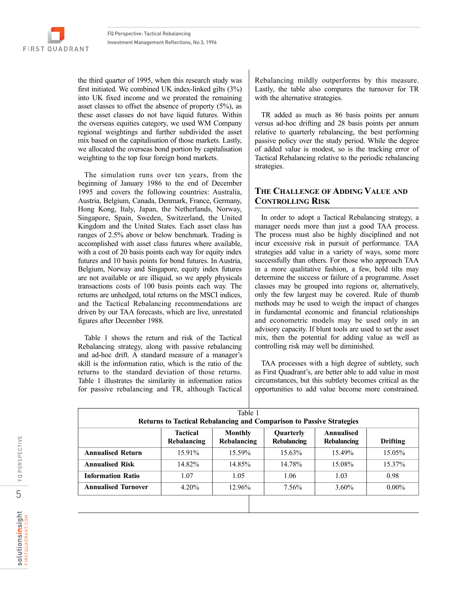the third quarter of 1995, when this research study was first initiated. We combined UK index-linked gilts (3%) into UK fixed income and we prorated the remaining asset classes to offset the absence of property (5%), as these asset classes do not have liquid futures. Within the overseas equities category, we used WM Company regional weightings and further subdivided the asset mix based on the capitalisation of those markets. Lastly, we allocated the overseas bond portion by capitalisation weighting to the top four foreign bond markets.

The simulation runs over ten years, from the beginning of January 1986 to the end of December 1995 and covers the following countries: Australia, Austria, Belgium, Canada, Denmark, France, Germany, Hong Kong, Italy, Japan, the Netherlands, Norway, Singapore, Spain, Sweden, Switzerland, the United Kingdom and the United States. Each asset class has ranges of 2.5% above or below benchmark. Trading is accomplished with asset class futures where available, with a cost of 20 basis points each way for equity index futures and 10 basis points for bond futures. In Austria, Belgium, Norway and Singapore, equity index futures are not available or are illiquid, so we apply physicals transactions costs of 100 basis points each way. The returns are unhedged, total returns on the MSCI indices, and the Tactical Rebalancing recommendations are driven by our TAA forecasts, which are live, unrestated figures after December 1988.

Table 1 shows the return and risk of the Tactical Rebalancing strategy, along with passive rebalancing and ad-hoc drift. A standard measure of a manager's skill is the information ratio, which is the ratio of the returns to the standard deviation of those returns. Table 1 illustrates the similarity in information ratios for passive rebalancing and TR, although Tactical

Rebalancing mildly outperforms by this measure. Lastly, the table also compares the turnover for TR with the alternative strategies.

TR added as much as 86 basis points per annum versus ad-hoc drifting and 28 basis points per annum relative to quarterly rebalancing, the best performing passive policy over the study period. While the degree of added value is modest, so is the tracking error of Tactical Rebalancing relative to the periodic rebalancing strategies.

# **THE CHALLENGE OF ADDING VALUE AND CONTROLLING RISK**

In order to adopt a Tactical Rebalancing strategy, a manager needs more than just a good TAA process. The process must also be highly disciplined and not incur excessive risk in pursuit of performance. TAA strategies add value in a variety of ways, some more successfully than others. For those who approach TAA in a more qualitative fashion, a few, bold tilts may determine the success or failure of a programme. Asset classes may be grouped into regions or, alternatively, only the few largest may be covered. Rule of thumb methods may be used to weigh the impact of changes in fundamental economic and financial relationships and econometric models may be used only in an advisory capacity. If blunt tools are used to set the asset mix, then the potential for adding value as well as controlling risk may well be diminished.

TAA processes with a high degree of subtlety, such as First Quadrant's, are better able to add value in most circumstances, but this subtlety becomes critical as the opportunities to add value become more constrained.

| Table 1<br><b>Returns to Tactical Rebalancing and Comparison to Passive Strategies</b> |                                                                                                                                                    |        |        |          |          |  |  |
|----------------------------------------------------------------------------------------|----------------------------------------------------------------------------------------------------------------------------------------------------|--------|--------|----------|----------|--|--|
|                                                                                        | <b>Tactical</b><br>Annualised<br><b>Monthly</b><br>Quarterly<br>Rebalancing<br>Rebalancing<br><b>Rebalancing</b><br><b>Rebalancing</b><br>Drifting |        |        |          |          |  |  |
| <b>Annualised Return</b>                                                               | 15.91%                                                                                                                                             | 15.59% | 15.63% | 15.49%   | 15.05%   |  |  |
| <b>Annualised Risk</b>                                                                 | 14.82%                                                                                                                                             | 14.85% | 14.78% | 15.08%   | 15.37%   |  |  |
| <b>Information Ratio</b>                                                               | 1.07                                                                                                                                               | 1.05   | 1.06   | 1.03     | 0.98     |  |  |
| <b>Annualised Turnover</b>                                                             | $4.20\%$                                                                                                                                           | 12.96% | 7.56%  | $3.60\%$ | $0.00\%$ |  |  |
|                                                                                        |                                                                                                                                                    |        |        |          |          |  |  |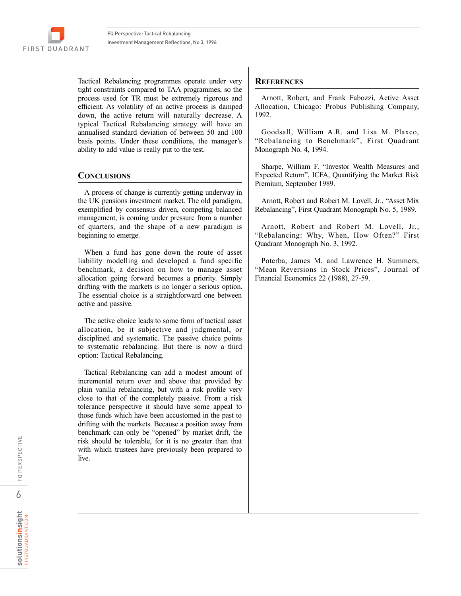**FIRST QUADRANT** 

Tactical Rebalancing programmes operate under very tight constraints compared to TAA programmes, so the process used for TR must be extremely rigorous and efficient. As volatility of an active process is damped down, the active return will naturally decrease. A typical Tactical Rebalancing strategy will have an annualised standard deviation of between 50 and 100 basis points. Under these conditions, the manager's ability to add value is really put to the test.

# **CONCLUSIONS**

A process of change is currently getting underway in the UK pensions investment market. The old paradigm, exemplified by consensus driven, competing balanced management, is coming under pressure from a number of quarters, and the shape of a new paradigm is beginning to emerge.

When a fund has gone down the route of asset liability modelling and developed a fund specific benchmark, a decision on how to manage asset allocation going forward becomes a priority. Simply drifting with the markets is no longer a serious option. The essential choice is a straightforward one between active and passive.

The active choice leads to some form of tactical asset allocation, be it subjective and judgmental, or disciplined and systematic. The passive choice points to systematic rebalancing. But there is now a third option: Tactical Rebalancing.

Tactical Rebalancing can add a modest amount of incremental return over and above that provided by plain vanilla rebalancing, but with a risk profile very close to that of the completely passive. From a risk tolerance perspective it should have some appeal to those funds which have been accustomed in the past to drifting with the markets. Because a position away from benchmark can only be "opened" by market drift, the risk should be tolerable, for it is no greater than that with which trustees have previously been prepared to live.

## **REFERENCES**

Arnott, Robert, and Frank Fabozzi, Active Asset Allocation, Chicago: Probus Publishing Company, 1992.

Goodsall, William A.R. and Lisa M. Plaxco, "Rebalancing to Benchmark", First Quadrant Monograph No. 4, 1994.

Sharpe, William F. "Investor Wealth Measures and Expected Return", ICFA, Quantifying the Market Risk Premium, September 1989.

Arnott, Robert and Robert M. Lovell, Jr., "Asset Mix Rebalancing", First Quadrant Monograph No. 5, 1989.

Arnott, Robert and Robert M. Lovell, Jr., "Rebalancing: Why, When, How Often?" First Quadrant Monograph No. 3, 1992.

Poterba, James M. and Lawrence H. Summers, "Mean Reversions in Stock Prices", Journal of Financial Economics 22 (1988), 27-59.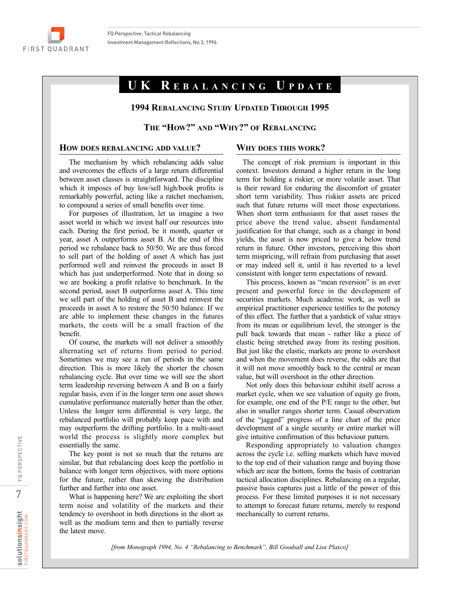

# **UK R EBALANCING U PDATE**

#### **1994 REBALANCING STUDY UPDATED THROUGH 1995**

### **THE "HOW?" AND "WHY?" OF REBALANCING**

#### **HOW DOES REBALANCING ADD VALUE?**

#### **WHY DOES THIS WORK?**

The mechanism by which rebalancing adds value and overcomes the effects of a large return differential between asset classes is straightforward. The discipline which it imposes of buy low/sell high/book profits is remarkably powerful, acting like a ratchet mechanism, to compound a series of small benefits over time.

For purposes of illustration, let us imagine a two asset world in which we invest half our resources into each. During the first period, be it month, quarter or year, asset A outperforms asset B. At the end of this period we rebalance back to 50/50. We are thus forced to sell part of the holding of asset A which has just performed well and reinvest the proceeds in asset B which has just underperformed. Note that in doing so we are booking a profit relative to benchmark. In the second period, asset B outperforms asset A. This time we sell part of the holding of asset B and reinvest the proceeds in asset A to restore the 50/50 balance. If we are able to implement these changes in the futures markets, the costs will be a small fraction of the benefit.

Of course, the markets will not deliver a smoothly alternating set of returns from period to period. Sometimes we may see a run of periods in the same direction. This is more likely the shorter the chosen rebalancing cycle. But over time we will see the short term leadership reversing between A and B on a fairly regular basis, even if in the longer term one asset shows cumulative performance materially better than the other. Unless the longer term differential is very large, the rebalanced portfolio will probably keep pace with and may outperform the drifting portfolio. In a multi-asset world the process is slightly more complex but essentially the same.

The key point is not so much that the returns are similar, but that rebalancing does keep the portfolio in balance with longer term objectives, with more options for the future, rather than skewing the distribution further and further into one asset.

What is happening here? We are exploiting the short term noise and volatility of the markets and their tendency to overshoot in both directions in the short as well as the medium term and then to partially reverse the latest move.

The concept of risk premium is important in this context. Investors demand a higher return in the long term for holding a riskier, or more volatile asset. That is their reward for enduring the discomfort of greater short term variability. Thus riskier assets are priced such that future returns will meet those expectations. When short term enthusiasm for that asset raises the price above the trend value, absent fundamental justification for that change, such as a change in bond yields, the asset is now priced to give a below trend return in future. Other investors, perceiving this short term mispricing, will refrain from purchasing that asset or may indeed sell it, until it has reverted to a level consistent with longer term expectations of reward.

This process, known as "mean reversion" is an ever present and powerful force in the development of securities markets. Much academic work, as well as empirical practitioner experience testifies to the potency of this effect. The further that a yardstick of value strays from its mean or equilibrium level, the stronger is the pull back towards that mean - rather like a piece of elastic being stretched away from its resting position. But just like the elastic, markets are prone to overshoot and when the movement does reverse, the odds are that it will not move smoothly back to the central or mean value, but will overshoot in the other direction.

Not only does this behaviour exhibit itself across a market cycle, when we see valuation of equity go from, for example, one end of the P/E range to the other, but also in smaller ranges shorter term. Casual observation of the "jagged" progress of a line chart of the price development of a single security or entire market will give intuitive confirmation of this behaviour pattern.

Responding appropriately to valuation changes across the cycle i.e. selling markets which have moved to the top end of their valuation range and buying those which are near the bottom, forms the basis of contrarian tactical allocation disciplines. Rebalancing on a regular, passive basis captures just a little of the power of this process. For these limited purposes it is not necessary to attempt to forecast future returns, merely to respond mechanically to current returns.

*[from Monograph 1994, No. 4 "Rebalancing to Benchmark", Bill Goodsall and Lisa Plaxco]*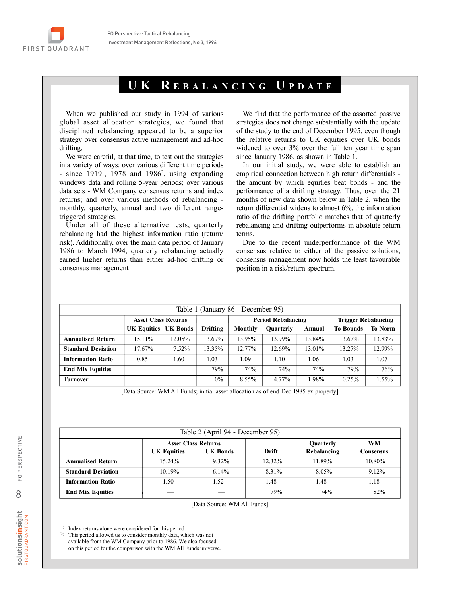

# **UK R EBALANCING U PDATE**

When we published our study in 1994 of various global asset allocation strategies, we found that disciplined rebalancing appeared to be a superior strategy over consensus active management and ad-hoc drifting.

We were careful, at that time, to test out the strategies in a variety of ways: over various different time periods - since  $1919<sup>1</sup>$ , 1978 and  $1986<sup>2</sup>$ , using expanding windows data and rolling 5-year periods; over various data sets - WM Company consensus returns and index returns; and over various methods of rebalancing monthly, quarterly, annual and two different rangetriggered strategies.

Under all of these alternative tests, quarterly rebalancing had the highest information ratio (return/ risk). Additionally, over the main data period of January 1986 to March 1994, quarterly rebalancing actually earned higher returns than either ad-hoc drifting or consensus management

We find that the performance of the assorted passive strategies does not change substantially with the update of the study to the end of December 1995, even though the relative returns to UK equities over UK bonds widened to over 3% over the full ten year time span since January 1986, as shown in Table 1.

In our initial study, we were able to establish an empirical connection between high return differentials the amount by which equities beat bonds - and the performance of a drifting strategy. Thus, over the 21 months of new data shown below in Table 2, when the return differential widens to almost 6%, the information ratio of the drifting portfolio matches that of quarterly rebalancing and drifting outperforms in absolute return terms.

Due to the recent underperformance of the WM consensus relative to either of the passive solutions, consensus management now holds the least favourable position in a risk/return spectrum.

| Table 1 (January 86 - December 95) |                            |          |          |                           |                  |        |                            |                |
|------------------------------------|----------------------------|----------|----------|---------------------------|------------------|--------|----------------------------|----------------|
|                                    | <b>Asset Class Returns</b> |          |          | <b>Period Rebalancing</b> |                  |        | <b>Trigger Rebalancing</b> |                |
|                                    | <b>UK Equities</b>         | UK Bonds | Drifting | Monthly                   | <b>Ouarterly</b> | Annual | <b>To Bounds</b>           | <b>To Norm</b> |
| <b>Annualised Return</b>           | 15.11%                     | 12.05%   | 13.69%   | 13.95%                    | 13.99%           | 13.84% | 13.67%                     | 13.83%         |
| <b>Standard Deviation</b>          | 17.67%                     | 7.52%    | 13.35%   | 12.77%                    | 12.69%           | 13.01% | 13.27%                     | 12.99%         |
| <b>Information Ratio</b>           | 0.85                       | 1.60     | 1.03     | 1.09                      | 1.10             | 1.06   | 1.03                       | 1.07           |
| <b>End Mix Equities</b>            |                            |          | 79%      | 74%                       | 74%              | 74%    | 79%                        | 76%            |
| <b>Turnover</b>                    |                            |          | $0\%$    | 8.55%                     | 4.77%            | 1.98%  | 0.25%                      | 1.55%          |

[Data Source: WM All Funds; initial asset allocation as of end Dec 1985 ex property]

| Table 2 (April 94 - December 95) |                    |                                               |                                   |        |                        |  |  |
|----------------------------------|--------------------|-----------------------------------------------|-----------------------------------|--------|------------------------|--|--|
|                                  | <b>UK Equities</b> | <b>Asset Class Returns</b><br><b>UK Bonds</b> | Quarterly<br>Rebalancing<br>Drift |        | <b>WM</b><br>Consensus |  |  |
| <b>Annualised Return</b>         | $15.24\%$          | 9.32%                                         | $12.32\%$                         | 11.89% | 10.80%                 |  |  |
| <b>Standard Deviation</b>        | $10.19\%$          | $6.14\%$                                      | 8.31%                             | 8.05%  | 9.12%                  |  |  |
| <b>Information Ratio</b>         | 1.50               | 1.52                                          | 1.48                              | l 48   | 1.18                   |  |  |
| <b>End Mix Equities</b>          |                    |                                               | 79%                               | 74%    | 82%                    |  |  |

[Data Source: WM All Funds]

(1) Index returns alone were considered for this period.

(2) This period allowed us to consider monthly data, which was not available from the WM Company prior to 1986. We also focused on this period for the comparison with the WM All Funds universe.

8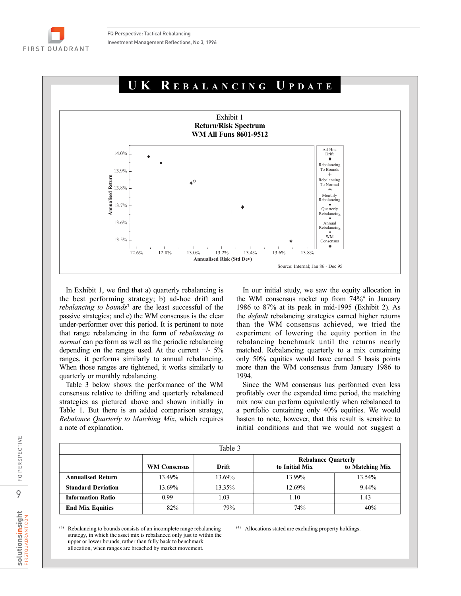

In Exhibit 1, we find that a) quarterly rebalancing is the best performing strategy; b) ad-hoc drift and *rebalancing to bounds*<sup>3</sup> are the least successful of the passive strategies; and c) the WM consensus is the clear under-performer over this period. It is pertinent to note that range rebalancing in the form of *rebalancing to normal* can perform as well as the periodic rebalancing depending on the ranges used. At the current  $+/- 5\%$ ranges, it performs similarly to annual rebalancing. When those ranges are tightened, it works similarly to quarterly or monthly rebalancing.

Table 3 below shows the performance of the WM consensus relative to drifting and quarterly rebalanced strategies as pictured above and shown initially in Table 1. But there is an added comparison strategy, *Rebalance Quarterly to Matching Mix*, which requires a note of explanation.

In our initial study, we saw the equity allocation in the WM consensus rocket up from 74%4 in January 1986 to 87% at its peak in mid-1995 (Exhibit 2). As the *default* rebalancing strategies earned higher returns than the WM consensus achieved, we tried the experiment of lowering the equity portion in the rebalancing benchmark until the returns nearly matched. Rebalancing quarterly to a mix containing only 50% equities would have earned 5 basis points more than the WM consensus from January 1986 to 1994.

Since the WM consensus has performed even less profitably over the expanded time period, the matching mix now can perform equivalently when rebalanced to a portfolio containing only 40% equities. We would hasten to note, however, that this result is sensitive to initial conditions and that we would not suggest a

| Table 3                   |                     |        |                                                                 |        |  |  |
|---------------------------|---------------------|--------|-----------------------------------------------------------------|--------|--|--|
|                           | <b>WM Consensus</b> | Drift  | <b>Rebalance Quarterly</b><br>to Initial Mix<br>to Matching Mix |        |  |  |
| <b>Annualised Return</b>  | 13.49%              | 13.69% | 13.99%                                                          | 13.54% |  |  |
| <b>Standard Deviation</b> | 13.69%              | 13.35% | 12.69%                                                          | 9.44%  |  |  |
| <b>Information Ratio</b>  | 0.99                | 1.03   | 1.10                                                            | 1.43   |  |  |
| <b>End Mix Equities</b>   | 82%                 | 79%    | 74%                                                             | 40%    |  |  |

(3) Rebalancing to bounds consists of an incomplete range rebalancing strategy, in which the asset mix is rebalanced only just to within the upper or lower bounds, rather than fully back to benchmark allocation, when ranges are breached by market movement.

(4) Allocations stated are excluding property holdings.